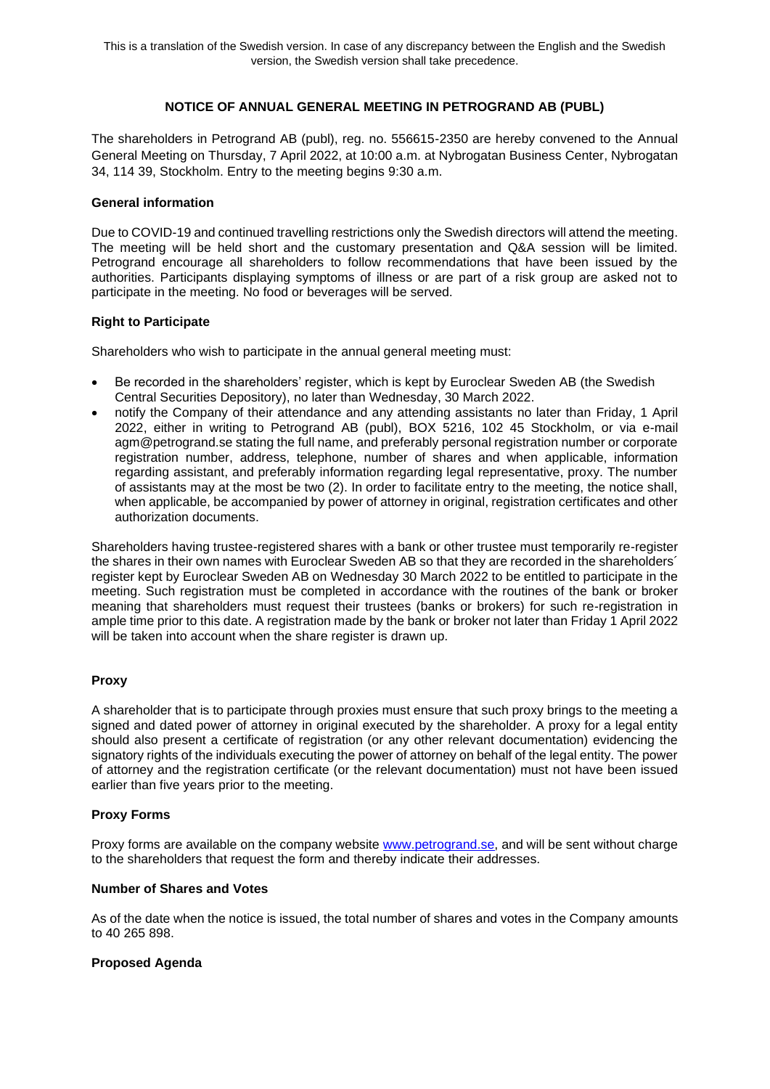# **NOTICE OF ANNUAL GENERAL MEETING IN PETROGRAND AB (PUBL)**

The shareholders in Petrogrand AB (publ), reg. no. 556615-2350 are hereby convened to the Annual General Meeting on Thursday, 7 April 2022, at 10:00 a.m. at Nybrogatan Business Center, Nybrogatan 34, 114 39, Stockholm. Entry to the meeting begins 9:30 a.m.

### **General information**

Due to COVID-19 and continued travelling restrictions only the Swedish directors will attend the meeting. The meeting will be held short and the customary presentation and Q&A session will be limited. Petrogrand encourage all shareholders to follow recommendations that have been issued by the authorities. Participants displaying symptoms of illness or are part of a risk group are asked not to participate in the meeting. No food or beverages will be served.

### **Right to Participate**

Shareholders who wish to participate in the annual general meeting must:

- Be recorded in the shareholders' register, which is kept by Euroclear Sweden AB (the Swedish Central Securities Depository), no later than Wednesday, 30 March 2022.
- notify the Company of their attendance and any attending assistants no later than Friday, 1 April 2022, either in writing to Petrogrand AB (publ), BOX 5216, 102 45 Stockholm, or via e-mail agm@petrogrand.se stating the full name, and preferably personal registration number or corporate registration number, address, telephone, number of shares and when applicable, information regarding assistant, and preferably information regarding legal representative, proxy. The number of assistants may at the most be two (2). In order to facilitate entry to the meeting, the notice shall, when applicable, be accompanied by power of attorney in original, registration certificates and other authorization documents.

Shareholders having trustee-registered shares with a bank or other trustee must temporarily re-register the shares in their own names with Euroclear Sweden AB so that they are recorded in the shareholders´ register kept by Euroclear Sweden AB on Wednesday 30 March 2022 to be entitled to participate in the meeting. Such registration must be completed in accordance with the routines of the bank or broker meaning that shareholders must request their trustees (banks or brokers) for such re-registration in ample time prior to this date. A registration made by the bank or broker not later than Friday 1 April 2022 will be taken into account when the share register is drawn up.

# **Proxy**

A shareholder that is to participate through proxies must ensure that such proxy brings to the meeting a signed and dated power of attorney in original executed by the shareholder. A proxy for a legal entity should also present a certificate of registration (or any other relevant documentation) evidencing the signatory rights of the individuals executing the power of attorney on behalf of the legal entity. The power of attorney and the registration certificate (or the relevant documentation) must not have been issued earlier than five years prior to the meeting.

### **Proxy Forms**

Proxy forms are available on the company website [www.petrogrand.se,](about:blank) and will be sent without charge to the shareholders that request the form and thereby indicate their addresses.

### **Number of Shares and Votes**

As of the date when the notice is issued, the total number of shares and votes in the Company amounts to 40 265 898.

# **Proposed Agenda**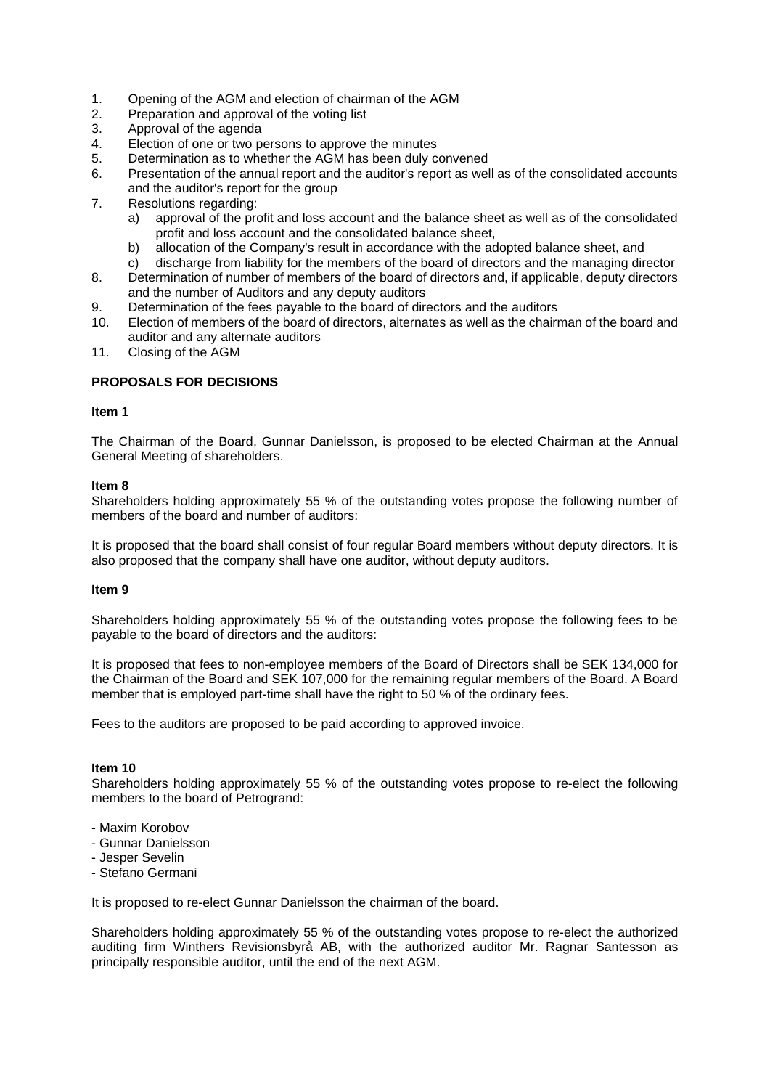- 1. Opening of the AGM and election of chairman of the AGM
- 2. Preparation and approval of the voting list
- 3. Approval of the agenda
- 4. Election of one or two persons to approve the minutes
- 5. Determination as to whether the AGM has been duly convened
- 6. Presentation of the annual report and the auditor's report as well as of the consolidated accounts and the auditor's report for the group
- 7. Resolutions regarding:
	- a) approval of the profit and loss account and the balance sheet as well as of the consolidated profit and loss account and the consolidated balance sheet,
	- b) allocation of the Company's result in accordance with the adopted balance sheet, and
	- c) discharge from liability for the members of the board of directors and the managing director
- 8. Determination of number of members of the board of directors and, if applicable, deputy directors and the number of Auditors and any deputy auditors
- 9. Determination of the fees payable to the board of directors and the auditors
- 10. Election of members of the board of directors, alternates as well as the chairman of the board and auditor and any alternate auditors
- 11. Closing of the AGM

# **PROPOSALS FOR DECISIONS**

### **Item 1**

The Chairman of the Board, Gunnar Danielsson, is proposed to be elected Chairman at the Annual General Meeting of shareholders.

### **Item 8**

Shareholders holding approximately 55 % of the outstanding votes propose the following number of members of the board and number of auditors:

It is proposed that the board shall consist of four regular Board members without deputy directors. It is also proposed that the company shall have one auditor, without deputy auditors.

### **Item 9**

Shareholders holding approximately 55 % of the outstanding votes propose the following fees to be payable to the board of directors and the auditors:

It is proposed that fees to non-employee members of the Board of Directors shall be SEK 134,000 for the Chairman of the Board and SEK 107,000 for the remaining regular members of the Board. A Board member that is employed part-time shall have the right to 50 % of the ordinary fees.

Fees to the auditors are proposed to be paid according to approved invoice.

### **Item 10**

Shareholders holding approximately 55 % of the outstanding votes propose to re-elect the following members to the board of Petrogrand:

- Maxim Korobov
- Gunnar Danielsson
- Jesper Sevelin
- Stefano Germani

It is proposed to re-elect Gunnar Danielsson the chairman of the board.

Shareholders holding approximately 55 % of the outstanding votes propose to re-elect the authorized auditing firm Winthers Revisionsbyrå AB, with the authorized auditor Mr. Ragnar Santesson as principally responsible auditor, until the end of the next AGM.